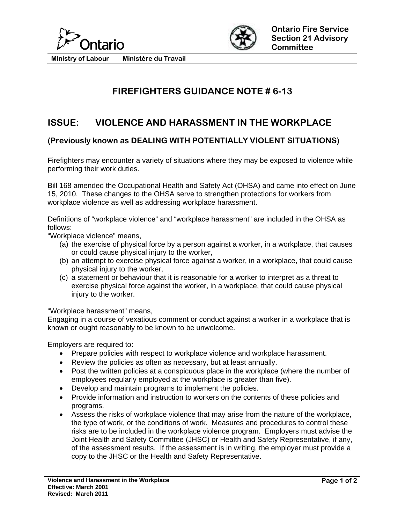



**Ministry of Labour Ministére du Travail** 

## **FIREFIGHTERS GUIDANCE NOTE # 6-13**

## **ISSUE: VIOLENCE AND HARASSMENT IN THE WORKPLACE**

## **(Previously known as DEALING WITH POTENTIALLY VIOLENT SITUATIONS)**

Firefighters may encounter a variety of situations where they may be exposed to violence while performing their work duties.

Bill 168 amended the Occupational Health and Safety Act (OHSA) and came into effect on June 15, 2010. These changes to the OHSA serve to strengthen protections for workers from workplace violence as well as addressing workplace harassment.

Definitions of "workplace violence" and "workplace harassment" are included in the OHSA as follows:

"Workplace violence" means,

- (a) the exercise of physical force by a person against a worker, in a workplace, that causes or could cause physical injury to the worker,
- (b) an attempt to exercise physical force against a worker, in a workplace, that could cause physical injury to the worker,
- (c) a statement or behaviour that it is reasonable for a worker to interpret as a threat to exercise physical force against the worker, in a workplace, that could cause physical injury to the worker.

"Workplace harassment" means,

Engaging in a course of vexatious comment or conduct against a worker in a workplace that is known or ought reasonably to be known to be unwelcome.

Employers are required to:

- Prepare policies with respect to workplace violence and workplace harassment.
- Review the policies as often as necessary, but at least annually.
- Post the written policies at a conspicuous place in the workplace (where the number of employees regularly employed at the workplace is greater than five).
- Develop and maintain programs to implement the policies.
- Provide information and instruction to workers on the contents of these policies and programs.
- Assess the risks of workplace violence that may arise from the nature of the workplace, the type of work, or the conditions of work. Measures and procedures to control these risks are to be included in the workplace violence program. Employers must advise the Joint Health and Safety Committee (JHSC) or Health and Safety Representative, if any, of the assessment results. If the assessment is in writing, the employer must provide a copy to the JHSC or the Health and Safety Representative.